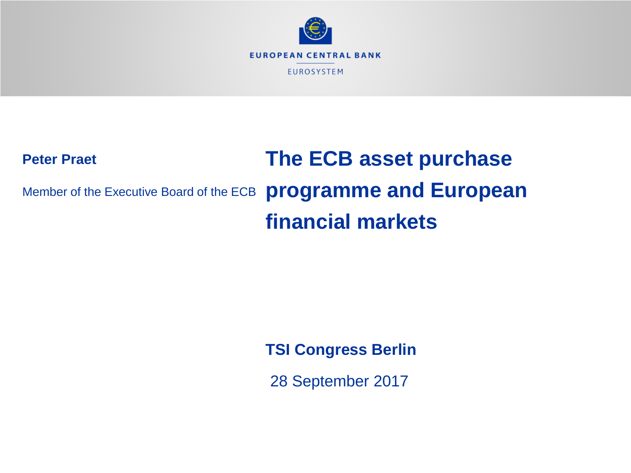

## **Peter Praet** Member of the Executive Board of the ECB **The ECB asset purchase programme and European financial markets**

**TSI Congress Berlin**

28 September 2017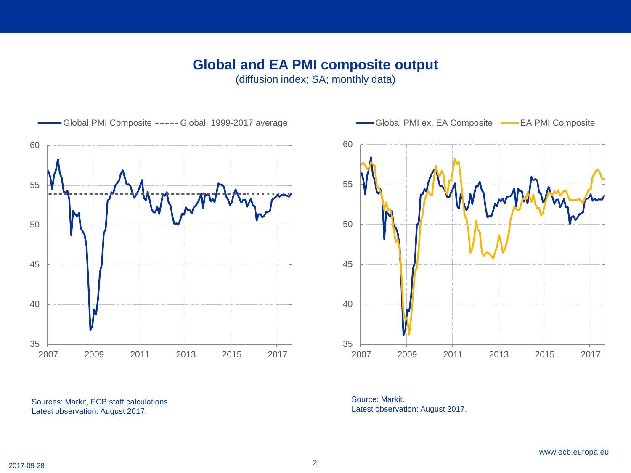### **Global and EA PMI composite output**

(diffusion index; SA; monthly data)



Sources: Markit, ECB staff calculations. Latest observation: August 2017.



Source: Markit. Latest observation: August 2017.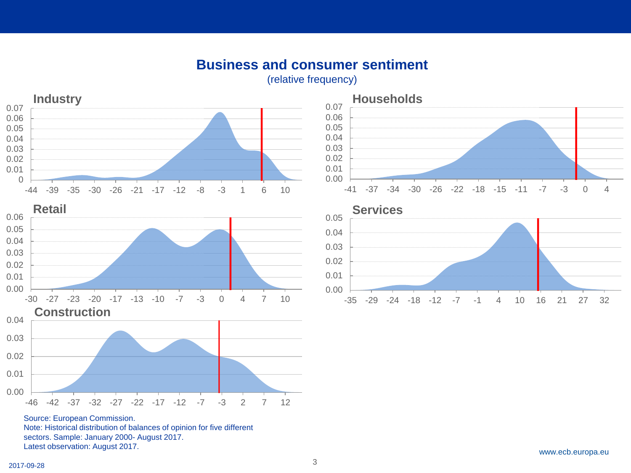### **Business and consumer sentiment**

(relative frequency)









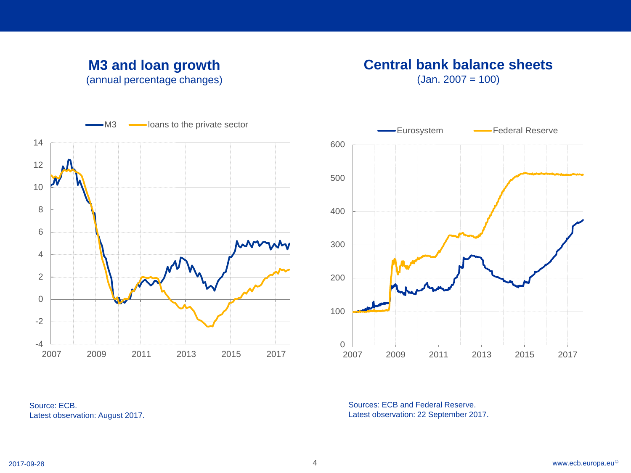### **M3 and loan growth** (annual percentage changes)

# **Central bank balance sheets**

 $(Jan. 2007 = 100)$ 





Source: ECB. Latest observation: August 2017.

Sources: ECB and Federal Reserve. Latest observation: 22 September 2017.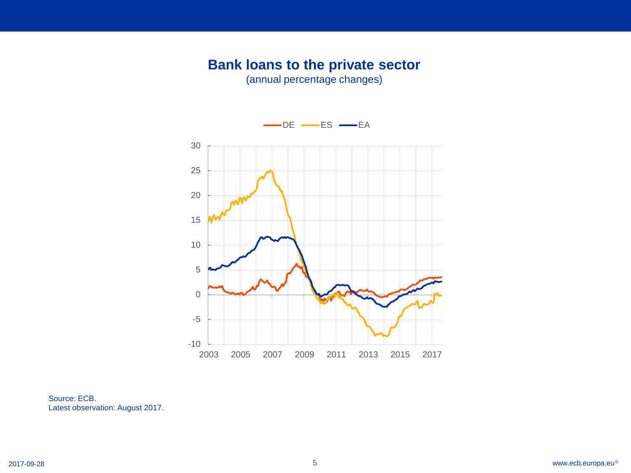### **Bank loans to the private sector**

(annual percentage changes)



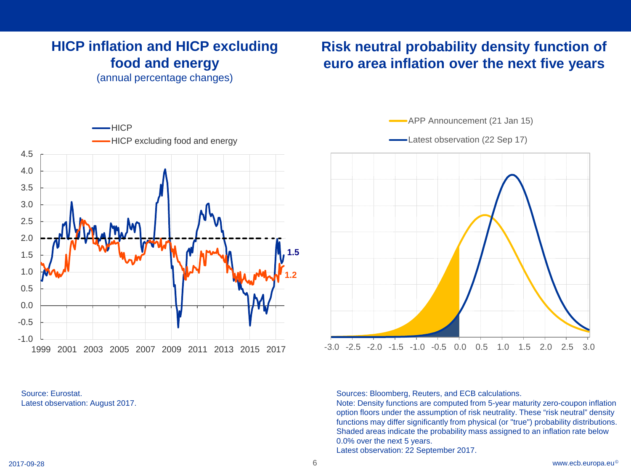### **HICP inflation and HICP excluding food and energy**

(annual percentage changes)

### **Risk neutral probability density function of euro area inflation over the next five years**





APP Announcement (21 Jan 15)

-Latest observation (22 Sep 17)



Sources: Bloomberg, Reuters, and ECB calculations.

Note: Density functions are computed from 5-year maturity zero-coupon inflation option floors under the assumption of risk neutrality. These "risk neutral" density functions may differ significantly from physical (or "true") probability distributions. Shaded areas indicate the probability mass assigned to an inflation rate below 0.0% over the next 5 years.

Latest observation: 22 September 2017.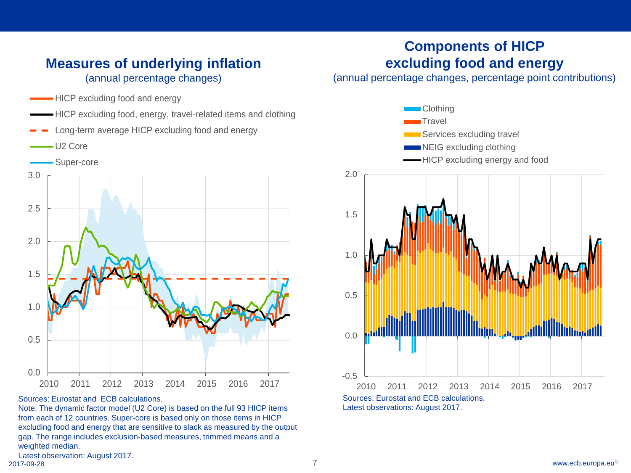### **Measures of underlying inflation** (annual percentage changes)

- -HICP excluding food and energy
- HICP excluding food, energy, travel-related items and clothing
- Long-term average HICP excluding food and energy
- U2 Core





Sources: Eurostat and ECB calculations.

Note: The dynamic factor model (U2 Core) is based on the full 93 HICP items from each of 12 countries. Super-core is based only on those items in HICP excluding food and energy that are sensitive to slack as measured by the output gap. The range includes exclusion-based measures, trimmed means and a weighted median.

### **Components of HICP excluding food and energy**

(annual percentage changes, percentage point contributions)

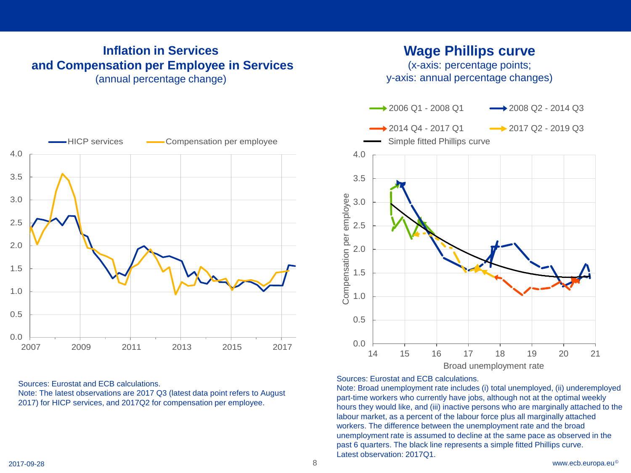### **Inflation in Services and Compensation per Employee in Services** (annual percentage change)



(x-axis: percentage points; y-axis: annual percentage changes)



#### Sources: Eurostat and ECB calculations.

Note: The latest observations are 2017 Q3 (latest data point refers to August 2017) for HICP services, and 2017Q2 for compensation per employee.



Sources: Eurostat and ECB calculations.

Note: Broad unemployment rate includes (i) total unemployed, (ii) underemployed part-time workers who currently have jobs, although not at the optimal weekly hours they would like, and (iii) inactive persons who are marginally attached to the labour market, as a percent of the labour force plus all marginally attached workers. The difference between the unemployment rate and the broad unemployment rate is assumed to decline at the same pace as observed in the past 6 quarters. The black line represents a simple fitted Phillips curve. Latest observation: 2017Q1.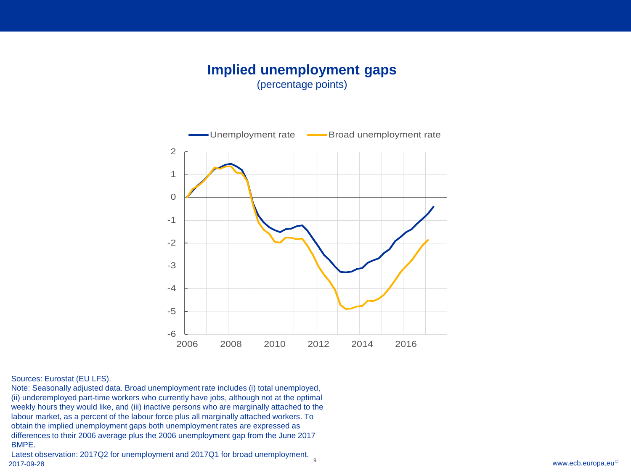#### **Implied unemployment gaps** (percentage points)



#### Sources: Eurostat (EU LFS).

Note: Seasonally adjusted data. Broad unemployment rate includes (i) total unemployed, (ii) underemployed part-time workers who currently have jobs, although not at the optimal weekly hours they would like, and (iii) inactive persons who are marginally attached to the labour market, as a percent of the labour force plus all marginally attached workers. To obtain the implied unemployment gaps both unemployment rates are expressed as differences to their 2006 average plus the 2006 unemployment gap from the June 2017 BMPE.

 $\frac{9}{2017\cdot 09\cdot 28}$  www.ecb.europa.eu© Latest observation: 2017Q2 for unemployment and 2017Q1 for broad unemployment.